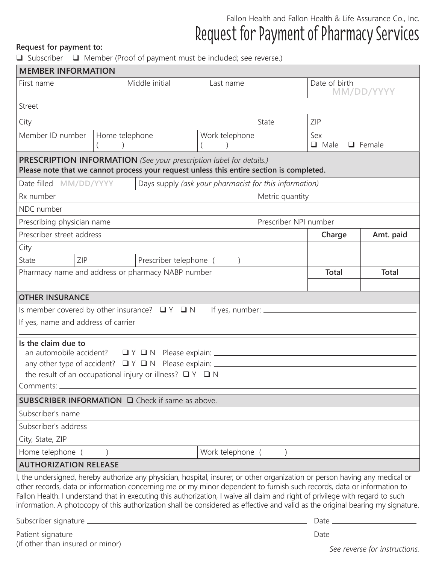## Fallon Health and Fallon Health & Life Assurance Co., Inc. Request for Payment of Pharmacy Services **Request for payment to:**

 $\Box$  Subscriber  $\Box$  Member (Proof of payment must be included; see reverse.)

| <b>MEMBER INFORMATION</b>                                                                                                                                                                                                                                                                                                                                                                                                                                                                                                   |                                        |                                                        |                  |                                                                                                                                                                                                                                               |                                     |              |  |
|-----------------------------------------------------------------------------------------------------------------------------------------------------------------------------------------------------------------------------------------------------------------------------------------------------------------------------------------------------------------------------------------------------------------------------------------------------------------------------------------------------------------------------|----------------------------------------|--------------------------------------------------------|------------------|-----------------------------------------------------------------------------------------------------------------------------------------------------------------------------------------------------------------------------------------------|-------------------------------------|--------------|--|
| First name                                                                                                                                                                                                                                                                                                                                                                                                                                                                                                                  |                                        | Middle initial                                         | Last name        |                                                                                                                                                                                                                                               | Date of birth<br>MM/DD/YYYY         |              |  |
| <b>Street</b>                                                                                                                                                                                                                                                                                                                                                                                                                                                                                                               |                                        |                                                        |                  |                                                                                                                                                                                                                                               |                                     |              |  |
| City                                                                                                                                                                                                                                                                                                                                                                                                                                                                                                                        |                                        |                                                        |                  | State                                                                                                                                                                                                                                         | ZIP                                 |              |  |
| Member ID number                                                                                                                                                                                                                                                                                                                                                                                                                                                                                                            | Home telephone                         |                                                        | Work telephone   |                                                                                                                                                                                                                                               | Sex<br>$\Box$ Male<br>$\Box$ Female |              |  |
| <b>PRESCRIPTION INFORMATION</b> (See your prescription label for details.)<br>Please note that we cannot process your request unless this entire section is completed.                                                                                                                                                                                                                                                                                                                                                      |                                        |                                                        |                  |                                                                                                                                                                                                                                               |                                     |              |  |
| Date filled MM/DD/YYYY                                                                                                                                                                                                                                                                                                                                                                                                                                                                                                      |                                        | Days supply (ask your pharmacist for this information) |                  |                                                                                                                                                                                                                                               |                                     |              |  |
| Rx number                                                                                                                                                                                                                                                                                                                                                                                                                                                                                                                   | Metric quantity                        |                                                        |                  |                                                                                                                                                                                                                                               |                                     |              |  |
| NDC number                                                                                                                                                                                                                                                                                                                                                                                                                                                                                                                  |                                        |                                                        |                  |                                                                                                                                                                                                                                               |                                     |              |  |
| Prescribing physician name                                                                                                                                                                                                                                                                                                                                                                                                                                                                                                  |                                        |                                                        |                  |                                                                                                                                                                                                                                               | Prescriber NPI number               |              |  |
| Prescriber street address                                                                                                                                                                                                                                                                                                                                                                                                                                                                                                   |                                        |                                                        |                  |                                                                                                                                                                                                                                               | Amt. paid<br>Charge                 |              |  |
| City                                                                                                                                                                                                                                                                                                                                                                                                                                                                                                                        |                                        |                                                        |                  |                                                                                                                                                                                                                                               |                                     |              |  |
| ZIP<br>State                                                                                                                                                                                                                                                                                                                                                                                                                                                                                                                |                                        | Prescriber telephone (                                 | $\left( \right)$ |                                                                                                                                                                                                                                               |                                     |              |  |
| Pharmacy name and address or pharmacy NABP number                                                                                                                                                                                                                                                                                                                                                                                                                                                                           |                                        |                                                        |                  |                                                                                                                                                                                                                                               | <b>Total</b>                        | <b>Total</b> |  |
|                                                                                                                                                                                                                                                                                                                                                                                                                                                                                                                             |                                        |                                                        |                  |                                                                                                                                                                                                                                               |                                     |              |  |
| <b>OTHER INSURANCE</b>                                                                                                                                                                                                                                                                                                                                                                                                                                                                                                      |                                        |                                                        |                  |                                                                                                                                                                                                                                               |                                     |              |  |
| Is member covered by other insurance? $\Box Y \Box N$                                                                                                                                                                                                                                                                                                                                                                                                                                                                       |                                        |                                                        |                  | If yes, number: $\frac{1}{2}$ if yes, number: $\frac{1}{2}$ if yes, number: $\frac{1}{2}$ if yes, number: $\frac{1}{2}$ if yes are not if yes are not if yes are not if yes are not if yes are not if yes are not if yes are not if yes are n |                                     |              |  |
|                                                                                                                                                                                                                                                                                                                                                                                                                                                                                                                             |                                        |                                                        |                  |                                                                                                                                                                                                                                               |                                     |              |  |
| Is the claim due to                                                                                                                                                                                                                                                                                                                                                                                                                                                                                                         |                                        |                                                        |                  |                                                                                                                                                                                                                                               |                                     |              |  |
|                                                                                                                                                                                                                                                                                                                                                                                                                                                                                                                             |                                        |                                                        |                  |                                                                                                                                                                                                                                               |                                     |              |  |
| any other type of accident? ■ Y ■ N Please explain: ____________________________                                                                                                                                                                                                                                                                                                                                                                                                                                            |                                        |                                                        |                  |                                                                                                                                                                                                                                               |                                     |              |  |
| the result of an occupational injury or illness? $\Box Y \Box N$                                                                                                                                                                                                                                                                                                                                                                                                                                                            |                                        |                                                        |                  |                                                                                                                                                                                                                                               |                                     |              |  |
| Comments: _                                                                                                                                                                                                                                                                                                                                                                                                                                                                                                                 |                                        |                                                        |                  |                                                                                                                                                                                                                                               |                                     |              |  |
| SUBSCRIBER INFORMATION □ Check if same as above.                                                                                                                                                                                                                                                                                                                                                                                                                                                                            |                                        |                                                        |                  |                                                                                                                                                                                                                                               |                                     |              |  |
| Subscriber's name                                                                                                                                                                                                                                                                                                                                                                                                                                                                                                           |                                        |                                                        |                  |                                                                                                                                                                                                                                               |                                     |              |  |
| Subscriber's address                                                                                                                                                                                                                                                                                                                                                                                                                                                                                                        |                                        |                                                        |                  |                                                                                                                                                                                                                                               |                                     |              |  |
| City, State, ZIP                                                                                                                                                                                                                                                                                                                                                                                                                                                                                                            |                                        |                                                        |                  |                                                                                                                                                                                                                                               |                                     |              |  |
|                                                                                                                                                                                                                                                                                                                                                                                                                                                                                                                             | Home telephone ()<br>Work telephone () |                                                        |                  |                                                                                                                                                                                                                                               |                                     |              |  |
| <b>AUTHORIZATION RELEASE</b>                                                                                                                                                                                                                                                                                                                                                                                                                                                                                                |                                        |                                                        |                  |                                                                                                                                                                                                                                               |                                     |              |  |
| I, the undersigned, hereby authorize any physician, hospital, insurer, or other organization or person having any medical or<br>other records, data or information concerning me or my minor dependent to furnish such records, data or information to<br>Fallon Health. I understand that in executing this authorization, I waive all claim and right of privilege with regard to such<br>information. A photocopy of this authorization shall be considered as effective and valid as the original bearing my signature. |                                        |                                                        |                  |                                                                                                                                                                                                                                               |                                     |              |  |
|                                                                                                                                                                                                                                                                                                                                                                                                                                                                                                                             |                                        |                                                        |                  |                                                                                                                                                                                                                                               |                                     |              |  |
| (if other than insured or minor)                                                                                                                                                                                                                                                                                                                                                                                                                                                                                            |                                        |                                                        |                  |                                                                                                                                                                                                                                               |                                     |              |  |

*See reverse for instructions.*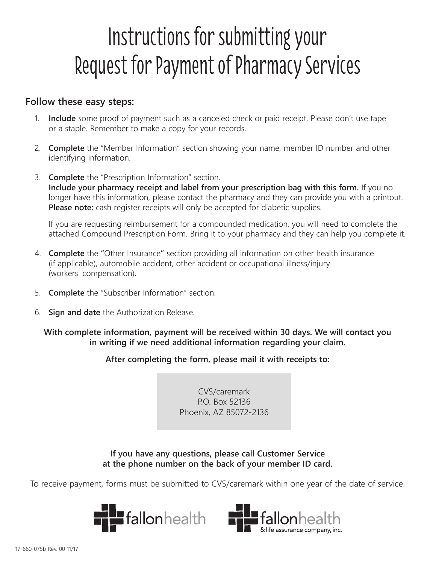# Instructions for submitting your Request for Payment of Pharmacy Services

### **Follow these easy steps:**

- 1. **Include** some proof of payment such as a canceled check or paid receipt. Please don't use tape or a staple. Remember to make a copy for your records.
- 2. **Complete** the "Member Information" section showing your name, member ID number and other identifying information.
- 3. **Complete** the "Prescription Information" section. **Include your pharmacy receipt and label from your prescription bag with this form.** If you no longer have this information, please contact the pharmacy and they can provide you with a printout. **Please note:** cash register receipts will only be accepted for diabetic supplies.

 If you are requesting reimbursement for a compounded medication, you will need to complete the attached Compound Prescription Form. Bring it to your pharmacy and they can help you complete it.

- 4. **Complete** the **"**Other Insurance**"** section providing all information on other health insurance (if applicable), automobile accident, other accident or occupational illness/injury (workers' compensation).
- 5. **Complete** the "Subscriber Information" section.
- 6. **Sign and date** the Authorization Release.

**With complete information, payment will be received within 30 days. We will contact you in writing if we need additional information regarding your claim.**

#### **After completing the form, please mail it with receipts to:**

CVS/caremark P.O. Box 52136 Phoenix, AZ 85072-2136

**If you have any questions, please call Customer Service at the phone number on the back of your member ID card.**

To receive payment, forms must be submitted to CVS/caremark within one year of the date of service.